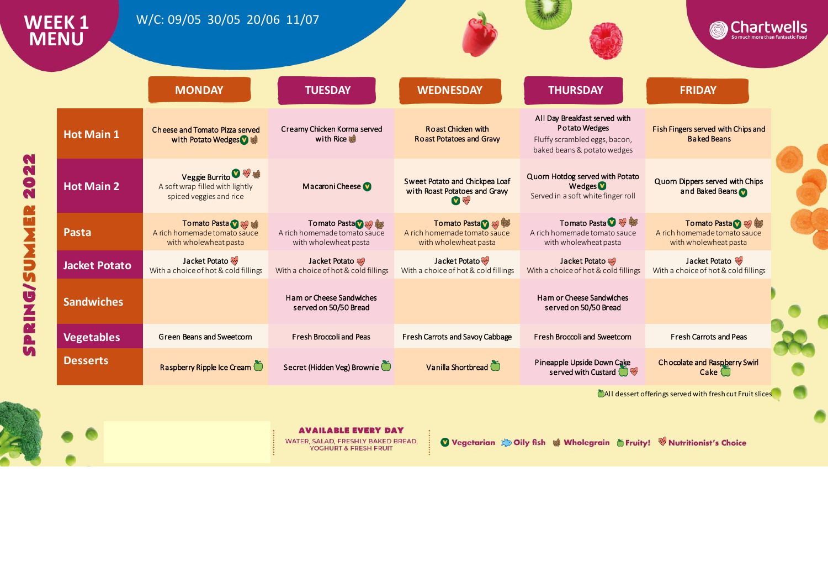

YOGHURT & FRESH FRUIT

Vegetarian & Oily fish & Wholegrain & Fruity! W Nutritionist's Choice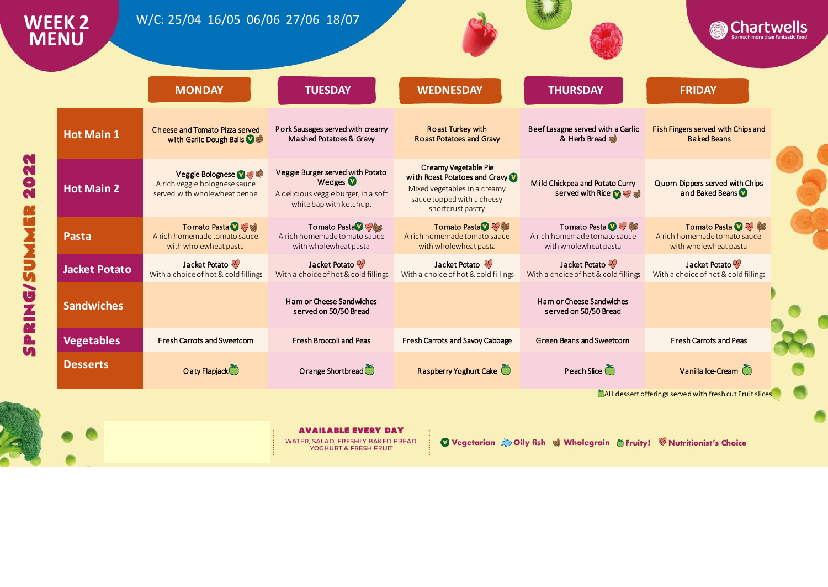|                      | <b>MONDAY</b>                                                                           | <b>TUESDAY</b>                                                                                                             | <b>WEDNESDAY</b>                                                                                                                         | <b>THURSDAY</b>                                                                | <b>FRIDAY</b>                                                                  |  |
|----------------------|-----------------------------------------------------------------------------------------|----------------------------------------------------------------------------------------------------------------------------|------------------------------------------------------------------------------------------------------------------------------------------|--------------------------------------------------------------------------------|--------------------------------------------------------------------------------|--|
| <b>Hot Main 1</b>    | Cheese and Tomato Pizza served<br>with Garlic Dough Balls V :                           | Pork Sausages served with creamy<br>Mashed Potatoes & Graw                                                                 | <b>Roast Turkey with</b><br><b>Roast Potatoes and Graw</b>                                                                               | Beef Lasagne served with a Garlic<br>& Herb Bread                              | Fish Fingers served with Chips and<br><b>Baked Beans</b>                       |  |
| <b>Hot Main 2</b>    | Veggie Bolognese 2 % 等<br>A rich veggie bolognese sauce<br>served with wholewheat penne | Veggie Burger served with Potato<br>Wedges <sup>1</sup><br>A delicious veggie burger, in a soft<br>white bap with ketchup. | Creamy Vegetable Pie<br>with Roast Potatoes and Gravy<br>Mixed vegetables in a creamy<br>sauce topped with a cheesy<br>shortcrust pastry | Mild Chickpea and Potato Curry<br>served with Rice <b>O</b>                    | Quorn Dippers served with Chips<br>and Baked Beans                             |  |
| <b>Pasta</b>         | Tomato Pasta <b>O</b><br>A rich homemade tomato sauce<br>with wholewheat pasta          | Tomato Pasta V<br>A rich homemade tomato sauce<br>with wholewheat pasta                                                    | Tomato Pasta <sup>39</sup><br>A rich homemade tomato sauce<br>with wholewheat pasta                                                      | Tomato Pasta <b>O</b><br>A rich homemade tomato sauce<br>with wholewheat pasta | Tomato Pasta <b>O</b><br>A rich homemade tomato sauce<br>with wholewheat pasta |  |
| <b>Jacket Potato</b> | Jacket Potato<br>With a choice of hot & cold fillings                                   | Jacket Potato<br>With a choice of hot & cold fillings                                                                      | Jacket Potato<br>With a choice of hot & cold fillings                                                                                    | Jacket Potato<br>With a choice of hot & cold fillings                          | Jacket Potato<br>With a choice of hot & cold fillings                          |  |
| <b>Sandwiches</b>    |                                                                                         | Ham or Cheese Sandwiches<br>served on 50/50 Bread                                                                          |                                                                                                                                          | Ham or Cheese Sandwiches<br>served on 50/50 Bread                              |                                                                                |  |
| <b>Vegetables</b>    | <b>Fresh Carrots and Sweetcorn</b>                                                      | <b>Fresh Broccoli and Peas</b>                                                                                             | Fresh Carrots and Savoy Cabbage                                                                                                          | Green Beans and Sweetcorn                                                      | <b>Fresh Carrots and Peas</b>                                                  |  |
| <b>Desserts</b>      | Oaty Flapjack                                                                           | Orange Shortbread                                                                                                          | Raspberry Yoghurt Cake                                                                                                                   | Peach Slice                                                                    | Vanilla Ice-Cream                                                              |  |